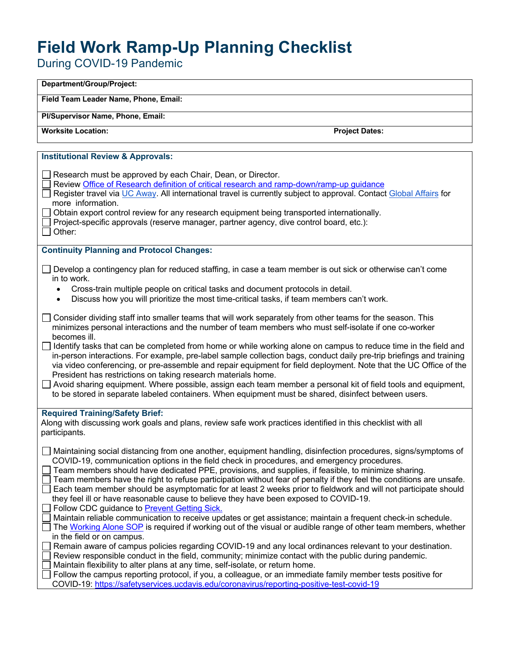## **Field Work Ramp-Up Planning Checklist**

During COVID-19 Pandemic

| Department/Group/Project:                                                                                                                                                                                                                                                                                                                                                                                                                                                                                                                                                                                                                                                                                                                                                                                                                                                                                                                                                                                                                                                                                                                                                                                                                                                                                                                                                                             |
|-------------------------------------------------------------------------------------------------------------------------------------------------------------------------------------------------------------------------------------------------------------------------------------------------------------------------------------------------------------------------------------------------------------------------------------------------------------------------------------------------------------------------------------------------------------------------------------------------------------------------------------------------------------------------------------------------------------------------------------------------------------------------------------------------------------------------------------------------------------------------------------------------------------------------------------------------------------------------------------------------------------------------------------------------------------------------------------------------------------------------------------------------------------------------------------------------------------------------------------------------------------------------------------------------------------------------------------------------------------------------------------------------------|
| Field Team Leader Name, Phone, Email:                                                                                                                                                                                                                                                                                                                                                                                                                                                                                                                                                                                                                                                                                                                                                                                                                                                                                                                                                                                                                                                                                                                                                                                                                                                                                                                                                                 |
| Pl/Supervisor Name, Phone, Email:                                                                                                                                                                                                                                                                                                                                                                                                                                                                                                                                                                                                                                                                                                                                                                                                                                                                                                                                                                                                                                                                                                                                                                                                                                                                                                                                                                     |
| <b>Worksite Location:</b><br><b>Project Dates:</b>                                                                                                                                                                                                                                                                                                                                                                                                                                                                                                                                                                                                                                                                                                                                                                                                                                                                                                                                                                                                                                                                                                                                                                                                                                                                                                                                                    |
|                                                                                                                                                                                                                                                                                                                                                                                                                                                                                                                                                                                                                                                                                                                                                                                                                                                                                                                                                                                                                                                                                                                                                                                                                                                                                                                                                                                                       |
| <b>Institutional Review &amp; Approvals:</b>                                                                                                                                                                                                                                                                                                                                                                                                                                                                                                                                                                                                                                                                                                                                                                                                                                                                                                                                                                                                                                                                                                                                                                                                                                                                                                                                                          |
| Research must be approved by each Chair, Dean, or Director.<br>Review Office of Research definition of critical research and ramp-down/ramp-up guidance<br>Register travel via UC Away. All international travel is currently subject to approval. Contact Global Affairs for<br>more information.<br>Obtain export control review for any research equipment being transported internationally.<br>Project-specific approvals (reserve manager, partner agency, dive control board, etc.):<br>Other:                                                                                                                                                                                                                                                                                                                                                                                                                                                                                                                                                                                                                                                                                                                                                                                                                                                                                                 |
| <b>Continuity Planning and Protocol Changes:</b>                                                                                                                                                                                                                                                                                                                                                                                                                                                                                                                                                                                                                                                                                                                                                                                                                                                                                                                                                                                                                                                                                                                                                                                                                                                                                                                                                      |
| Develop a contingency plan for reduced staffing, in case a team member is out sick or otherwise can't come<br>in to work.<br>Cross-train multiple people on critical tasks and document protocols in detail.<br>$\bullet$<br>Discuss how you will prioritize the most time-critical tasks, if team members can't work.<br>$\bullet$                                                                                                                                                                                                                                                                                                                                                                                                                                                                                                                                                                                                                                                                                                                                                                                                                                                                                                                                                                                                                                                                   |
| Consider dividing staff into smaller teams that will work separately from other teams for the season. This<br>minimizes personal interactions and the number of team members who must self-isolate if one co-worker<br>becomes ill.<br>Identify tasks that can be completed from home or while working alone on campus to reduce time in the field and<br>in-person interactions. For example, pre-label sample collection bags, conduct daily pre-trip briefings and training<br>via video conferencing, or pre-assemble and repair equipment for field deployment. Note that the UC Office of the<br>President has restrictions on taking research materials home.<br>Avoid sharing equipment. Where possible, assign each team member a personal kit of field tools and equipment,<br>to be stored in separate labeled containers. When equipment must be shared, disinfect between users.                                                                                                                                                                                                                                                                                                                                                                                                                                                                                                         |
| <b>Required Training/Safety Brief:</b><br>Along with discussing work goals and plans, review safe work practices identified in this checklist with all<br>participants.                                                                                                                                                                                                                                                                                                                                                                                                                                                                                                                                                                                                                                                                                                                                                                                                                                                                                                                                                                                                                                                                                                                                                                                                                               |
| Maintaining social distancing from one another, equipment handling, disinfection procedures, signs/symptoms of<br>COVID-19, communication options in the field check in procedures, and emergency procedures.<br>Team members should have dedicated PPE, provisions, and supplies, if feasible, to minimize sharing.<br>Team members have the right to refuse participation without fear of penalty if they feel the conditions are unsafe.<br>Each team member should be asymptomatic for at least 2 weeks prior to fieldwork and will not participate should<br>they feel ill or have reasonable cause to believe they have been exposed to COVID-19.<br>Follow CDC guidance to <b>Prevent Getting Sick.</b><br>Maintain reliable communication to receive updates or get assistance; maintain a frequent check-in schedule.<br>The Working Alone SOP is required if working out of the visual or audible range of other team members, whether<br>in the field or on campus.<br>Remain aware of campus policies regarding COVID-19 and any local ordinances relevant to your destination.<br>Review responsible conduct in the field, community; minimize contact with the public during pandemic.<br>Maintain flexibility to alter plans at any time, self-isolate, or return home.<br>Follow the campus reporting protocol, if you, a colleague, or an immediate family member tests positive for |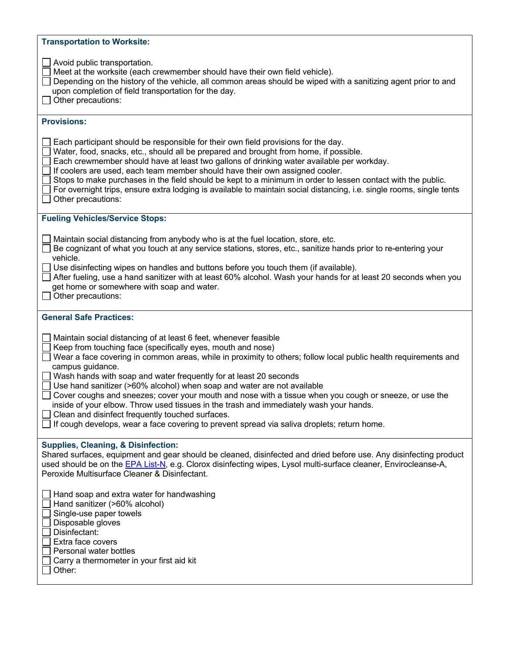| <b>Transportation to Worksite:</b>                                                                                                                                                                                                                                                                                                                                                                                                                                                                                                                                                                                                                                                                                                                                            |
|-------------------------------------------------------------------------------------------------------------------------------------------------------------------------------------------------------------------------------------------------------------------------------------------------------------------------------------------------------------------------------------------------------------------------------------------------------------------------------------------------------------------------------------------------------------------------------------------------------------------------------------------------------------------------------------------------------------------------------------------------------------------------------|
| Avoid public transportation.<br>Meet at the worksite (each crewmember should have their own field vehicle).<br>Depending on the history of the vehicle, all common areas should be wiped with a sanitizing agent prior to and<br>upon completion of field transportation for the day.<br>Other precautions:                                                                                                                                                                                                                                                                                                                                                                                                                                                                   |
| <b>Provisions:</b>                                                                                                                                                                                                                                                                                                                                                                                                                                                                                                                                                                                                                                                                                                                                                            |
| Each participant should be responsible for their own field provisions for the day.<br>Water, food, snacks, etc., should all be prepared and brought from home, if possible.<br>Each crewmember should have at least two gallons of drinking water available per workday.<br>If coolers are used, each team member should have their own assigned cooler.<br>Stops to make purchases in the field should be kept to a minimum in order to lessen contact with the public.<br>For overnight trips, ensure extra lodging is available to maintain social distancing, i.e. single rooms, single tents<br>Other precautions:                                                                                                                                                       |
| <b>Fueling Vehicles/Service Stops:</b>                                                                                                                                                                                                                                                                                                                                                                                                                                                                                                                                                                                                                                                                                                                                        |
| Maintain social distancing from anybody who is at the fuel location, store, etc.<br>Be cognizant of what you touch at any service stations, stores, etc., sanitize hands prior to re-entering your<br>vehicle.<br>$\Box$ Use disinfecting wipes on handles and buttons before you touch them (if available).<br>After fueling, use a hand sanitizer with at least 60% alcohol. Wash your hands for at least 20 seconds when you<br>get home or somewhere with soap and water.<br>Other precautions:                                                                                                                                                                                                                                                                           |
| <b>General Safe Practices:</b>                                                                                                                                                                                                                                                                                                                                                                                                                                                                                                                                                                                                                                                                                                                                                |
| Maintain social distancing of at least 6 feet, whenever feasible<br>Keep from touching face (specifically eyes, mouth and nose)<br>Wear a face covering in common areas, while in proximity to others; follow local public health requirements and<br>campus guidance.<br>Wash hands with soap and water frequently for at least 20 seconds<br>Use hand sanitizer (>60% alcohol) when soap and water are not available<br>Cover coughs and sneezes; cover your mouth and nose with a tissue when you cough or sneeze, or use the<br>inside of your elbow. Throw used tissues in the trash and immediately wash your hands.<br>Clean and disinfect frequently touched surfaces.<br>If cough develops, wear a face covering to prevent spread via saliva droplets; return home. |
| <b>Supplies, Cleaning, &amp; Disinfection:</b><br>Shared surfaces, equipment and gear should be cleaned, disinfected and dried before use. Any disinfecting product<br>used should be on the EPA List-N, e.g. Clorox disinfecting wipes, Lysol multi-surface cleaner, Envirocleanse-A,<br>Peroxide Multisurface Cleaner & Disinfectant.                                                                                                                                                                                                                                                                                                                                                                                                                                       |
| Hand soap and extra water for handwashing<br>Hand sanitizer (>60% alcohol)<br>Single-use paper towels<br>Disposable gloves<br>Disinfectant:<br>Extra face covers<br>Personal water bottles<br>Carry a thermometer in your first aid kit<br>Other:                                                                                                                                                                                                                                                                                                                                                                                                                                                                                                                             |